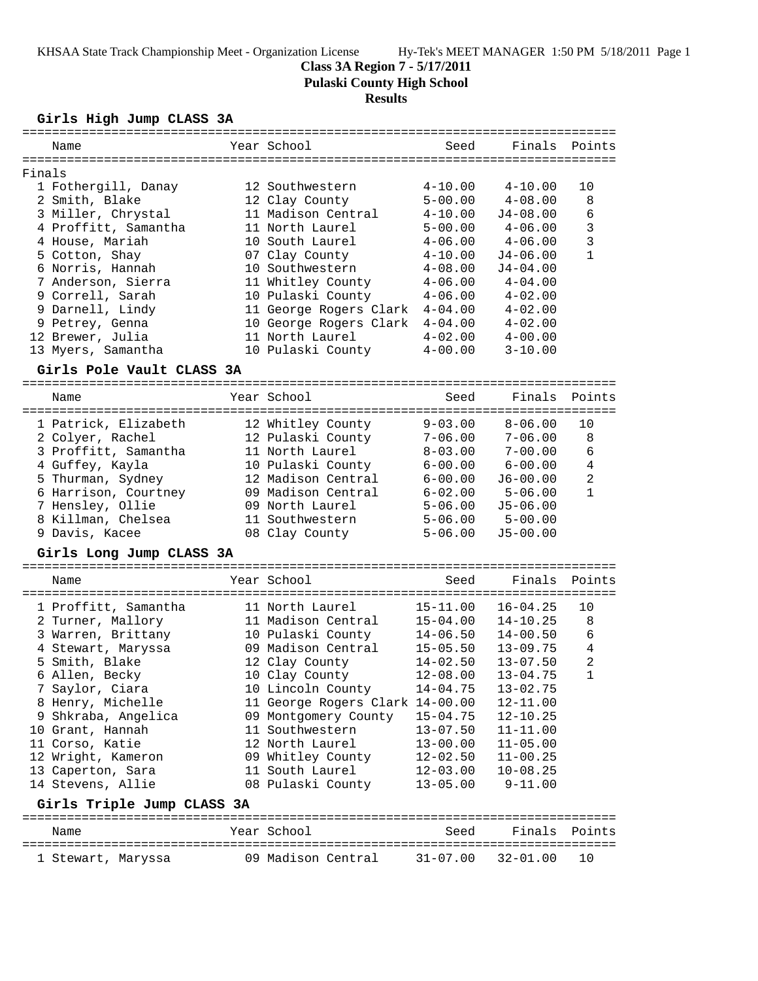## **Class 3A Region 7 - 5/17/2011**

**Pulaski County High School**

# **Results**

**Girls High Jump CLASS 3A**

|        | Name                       | Year School                     | Seed         | Finals                     | Points         |
|--------|----------------------------|---------------------------------|--------------|----------------------------|----------------|
| Finals |                            |                                 |              |                            |                |
|        | 1 Fothergill, Danay        | 12 Southwestern                 | $4 - 10.00$  | $4 - 10.00$                | 10             |
|        | 2 Smith, Blake             | 12 Clay County                  | $5 - 00.00$  | $4 - 08.00$                | 8              |
|        | 3 Miller, Chrystal         | 11 Madison Central              | $4 - 10.00$  | $J4 - 08.00$               | 6              |
|        | 4 Proffitt, Samantha       | 11 North Laurel                 | $5 - 00.00$  | $4 - 06.00$                | 3              |
|        | 4 House, Mariah            | 10 South Laurel                 | $4 - 06.00$  | $4 - 06.00$                | $\overline{3}$ |
|        | 5 Cotton, Shay             | 07 Clay County                  | $4 - 10.00$  | $J4 - 06.00$               | $\mathbf{1}$   |
|        | 6 Norris, Hannah           | 10 Southwestern                 | $4 - 08.00$  | $J4 - 04.00$               |                |
|        | 7 Anderson, Sierra         | 11 Whitley County               | $4 - 06.00$  | $4 - 04.00$                |                |
|        | 9 Correll, Sarah           | 10 Pulaski County               | $4 - 06.00$  | $4 - 02.00$                |                |
|        | 9 Darnell, Lindy           | 11 George Rogers Clark          | $4 - 04.00$  | $4 - 02.00$                |                |
|        | 9 Petrey, Genna            | 10 George Rogers Clark          | $4 - 04.00$  | $4 - 02.00$                |                |
|        | 12 Brewer, Julia           | 11 North Laurel                 | $4 - 02.00$  | $4 - 00.00$                |                |
|        | 13 Myers, Samantha         | 10 Pulaski County               | $4 - 00.00$  | $3 - 10.00$                |                |
|        | Girls Pole Vault CLASS 3A  |                                 |              |                            |                |
|        | Name                       | Year School                     | Seed         | Finals                     | Points         |
|        |                            |                                 |              | ========================== |                |
|        | 1 Patrick, Elizabeth       | 12 Whitley County               | $9 - 03.00$  | $8 - 06.00$                | 10             |
|        | 2 Colyer, Rachel           | 12 Pulaski County               | $7 - 06.00$  | $7 - 06.00$                | 8              |
|        | 3 Proffitt, Samantha       | 11 North Laurel                 | $8 - 03.00$  | $7 - 00.00$                | 6              |
|        | 4 Guffey, Kayla            | 10 Pulaski County               | $6 - 00.00$  | $6 - 00.00$                | $\overline{4}$ |
|        | 5 Thurman, Sydney          | 12 Madison Central              | $6 - 00.00$  | $J6 - 00.00$               | $\overline{2}$ |
|        | 6 Harrison, Courtney       | 09 Madison Central              | $6 - 02.00$  | $5 - 06.00$                | $\mathbf{1}$   |
|        | 7 Hensley, Ollie           | 09 North Laurel                 | $5 - 06.00$  | $J5 - 06.00$               |                |
|        | 8 Killman, Chelsea         | 11 Southwestern                 | $5 - 06.00$  | $5 - 00.00$                |                |
|        | 9 Davis, Kacee             | 08 Clay County                  | $5 - 06.00$  | $J5 - 00.00$               |                |
|        | Girls Long Jump CLASS 3A   |                                 |              |                            |                |
|        |                            |                                 |              |                            |                |
|        | Name                       | Year School                     | Seed         | Finals                     | Points         |
|        | 1 Proffitt, Samantha       | 11 North Laurel                 | $15 - 11.00$ | $16 - 04.25$               | 10             |
|        | 2 Turner, Mallory          | 11 Madison Central              | $15 - 04.00$ | $14 - 10.25$               | 8              |
|        | 3 Warren, Brittany         | 10 Pulaski County               | $14 - 06.50$ | $14 - 00.50$               | 6              |
|        | 4 Stewart, Maryssa         | 09 Madison Central              | $15 - 05.50$ | $13 - 09.75$               | $\bf 4$        |
|        | 5 Smith, Blake             | 12 Clay County                  | $14 - 02.50$ | $13 - 07.50$               | 2              |
|        | 6 Allen, Becky             | 10 Clay County                  | $12 - 08.00$ | $13 - 04.75$               | $\mathbf{1}$   |
|        | 7 Saylor, Ciara            | 10 Lincoln County               | $14 - 04.75$ | $13 - 02.75$               |                |
|        | 8 Henry, Michelle          | 11 George Rogers Clark 14-00.00 |              | $12 - 11.00$               |                |
|        | 9 Shkraba, Angelica        | 09 Montgomery County            | $15 - 04.75$ | $12 - 10.25$               |                |
|        | 10 Grant, Hannah           | 11 Southwestern                 | $13 - 07.50$ | $11 - 11.00$               |                |
|        | 11 Corso, Katie            | 12 North Laurel                 | $13 - 00.00$ | $11 - 05.00$               |                |
|        | 12 Wright, Kameron         | 09 Whitley County               | $12 - 02.50$ | $11 - 00.25$               |                |
|        | 13 Caperton, Sara          | 11 South Laurel                 | $12 - 03.00$ | $10 - 08.25$               |                |
|        | 14 Stevens, Allie          | 08 Pulaski County               | $13 - 05.00$ | $9 - 11.00$                |                |
|        | Girls Triple Jump CLASS 3A |                                 |              |                            |                |
|        | Name                       | Year School                     | Seed         | Finals                     | Points         |
|        | 1 Stewart, Maryssa         | 09 Madison Central              | $31 - 07.00$ | $32 - 01.00$               | 10             |
|        |                            |                                 |              |                            |                |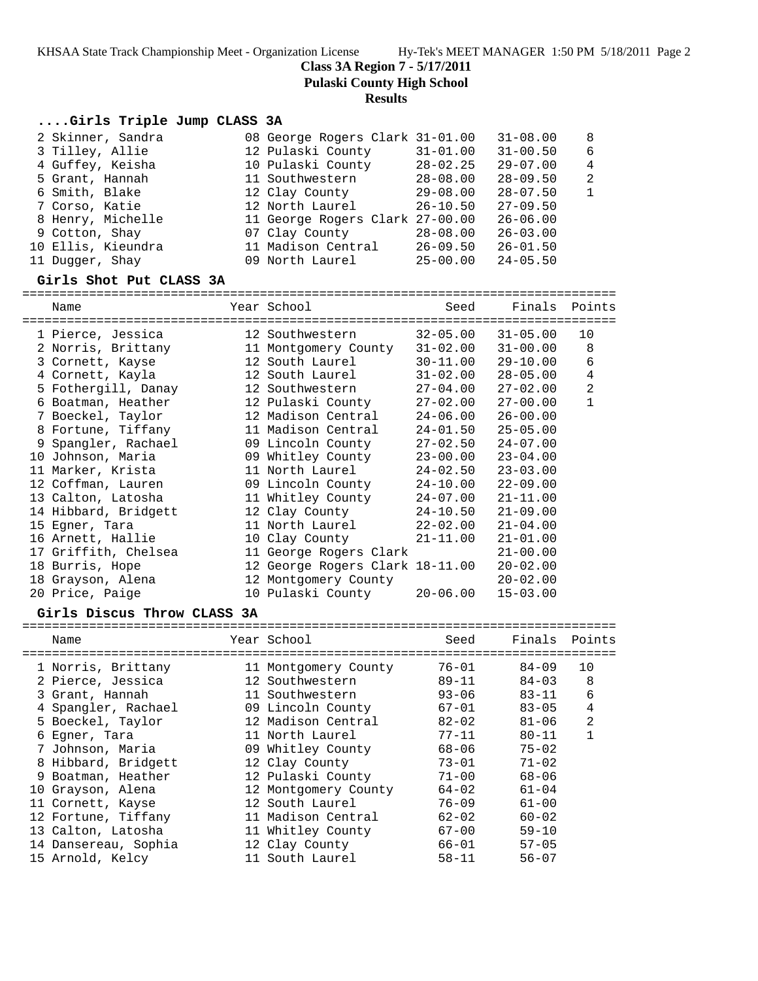**Class 3A Region 7 - 5/17/2011**

**Pulaski County High School**

## **Results**

## **....Girls Triple Jump CLASS 3A**

| 2 Skinner, Sandra  | 08 George Rogers Clark 31-01.00 |              | $31 - 08.00$ | 8            |
|--------------------|---------------------------------|--------------|--------------|--------------|
| 3 Tilley, Allie    | 12 Pulaski County               | $31 - 01.00$ | $31 - 00.50$ | 6            |
| 4 Guffey, Keisha   | 10 Pulaski County               | $28 - 02.25$ | $29 - 07.00$ | 4            |
| 5 Grant, Hannah    | 11 Southwestern                 | $28 - 08.00$ | $28 - 09.50$ | 2            |
| 6 Smith, Blake     | 12 Clay County                  | $29 - 08.00$ | $28 - 07.50$ | $\mathbf{1}$ |
| 7 Corso, Katie     | 12 North Laurel                 | $26 - 10.50$ | $27 - 09.50$ |              |
| 8 Henry, Michelle  | 11 George Rogers Clark 27-00.00 |              | $26 - 06.00$ |              |
| 9 Cotton, Shay     | 07 Clay County                  | $28 - 08.00$ | $26 - 03.00$ |              |
| 10 Ellis, Kieundra | 11 Madison Central              | $26 - 09.50$ | $26 - 01.50$ |              |
| 11 Dugger, Shay    | 09 North Laurel                 | $25 - 00.00$ | $24 - 05.50$ |              |

### **Girls Shot Put CLASS 3A**

================================================================================

| Name                                            | Year School                     | Seed         | Finals       | Points         |
|-------------------------------------------------|---------------------------------|--------------|--------------|----------------|
| ==========================<br>1 Pierce, Jessica | 12 Southwestern                 | $32 - 05.00$ | $31 - 05.00$ | 10             |
| 2 Norris, Brittany                              | 11 Montgomery County            | $31 - 02.00$ | $31 - 00.00$ | 8              |
| 3 Cornett, Kayse                                | 12 South Laurel                 | $30 - 11.00$ | 29-10.00     | 6              |
| 4 Cornett, Kayla                                | 12 South Laurel                 | $31 - 02.00$ | $28 - 05.00$ | $\bf 4$        |
| 5 Fothergill, Danay                             | 12 Southwestern                 | $27 - 04.00$ | $27 - 02.00$ | $\overline{a}$ |
| 6 Boatman, Heather                              | 12 Pulaski County               | $27 - 02.00$ | $27 - 00.00$ | $\mathbf{1}$   |
| 7 Boeckel, Taylor                               | 12 Madison Central              | 24-06.00     | $26 - 00.00$ |                |
| 8 Fortune, Tiffany                              | 11 Madison Central              | $24 - 01.50$ | $25 - 05.00$ |                |
| 9 Spangler, Rachael                             | 09 Lincoln County               | $27 - 02.50$ | $24 - 07.00$ |                |
| 10 Johnson, Maria                               | 09 Whitley County               | 23-00.00     | $23 - 04.00$ |                |
| 11 Marker, Krista                               | 11 North Laurel                 | 24-02.50     | $23 - 03.00$ |                |
| 12 Coffman, Lauren                              | 09 Lincoln County               | 24-10.00     | $22 - 09.00$ |                |
| 13 Calton, Latosha                              | 11 Whitley County               | 24-07.00     | $21 - 11.00$ |                |
| 14 Hibbard, Bridgett                            | 12 Clay County                  | 24-10.50     | $21 - 09.00$ |                |
| 15 Eqner, Tara                                  | 11 North Laurel                 | 22-02.00     | $21 - 04.00$ |                |
| 16 Arnett, Hallie                               | 10 Clay County                  | $21 - 11.00$ | $21 - 01.00$ |                |
| 17 Griffith, Chelsea                            | 11 George Rogers Clark          |              | $21 - 00.00$ |                |
| 18 Burris, Hope                                 | 12 George Rogers Clark 18-11.00 |              | $20 - 02.00$ |                |
| 18 Grayson, Alena                               | 12 Montgomery County            |              | $20 - 02.00$ |                |
| 20 Price, Paige                                 | 10 Pulaski County 20-06.00      |              | $15 - 03.00$ |                |

## **Girls Discus Throw CLASS 3A**

| Name                 | Year School          | Seed      | Finals    | Points         |
|----------------------|----------------------|-----------|-----------|----------------|
| 1 Norris, Brittany   | 11 Montgomery County | $76 - 01$ | $84 - 09$ | 10             |
| 2 Pierce, Jessica    | 12 Southwestern      | $89 - 11$ | $84 - 03$ | 8              |
| 3 Grant, Hannah      | 11 Southwestern      | $93 - 06$ | $83 - 11$ | 6              |
| 4 Spangler, Rachael  | 09 Lincoln County    | 67-01     | $83 - 05$ | 4              |
| 5 Boeckel, Taylor    | 12 Madison Central   | $82 - 02$ | $81 - 06$ | $\overline{2}$ |
| 6 Eqner, Tara        | 11 North Laurel      | $77 - 11$ | $80 - 11$ | $\mathbf{1}$   |
| 7 Johnson, Maria     | 09 Whitley County    | $68 - 06$ | $75 - 02$ |                |
| 8 Hibbard, Bridgett  | 12 Clay County       | 73-01     | $71 - 02$ |                |
| 9 Boatman, Heather   | 12 Pulaski County    | $71 - 00$ | $68 - 06$ |                |
| 10 Grayson, Alena    | 12 Montgomery County | $64 - 02$ | $61 - 04$ |                |
| 11 Cornett, Kayse    | 12 South Laurel      | $76 - 09$ | $61 - 00$ |                |
| 12 Fortune, Tiffany  | 11 Madison Central   | $62 - 02$ | $60 - 02$ |                |
| 13 Calton, Latosha   | 11 Whitley County    | $67 - 00$ | $59 - 10$ |                |
| 14 Dansereau, Sophia | 12 Clay County       | 66-01     | $57 - 05$ |                |
| 15 Arnold, Kelcy     | 11 South Laurel      | $58 - 11$ | $56 - 07$ |                |
|                      |                      |           |           |                |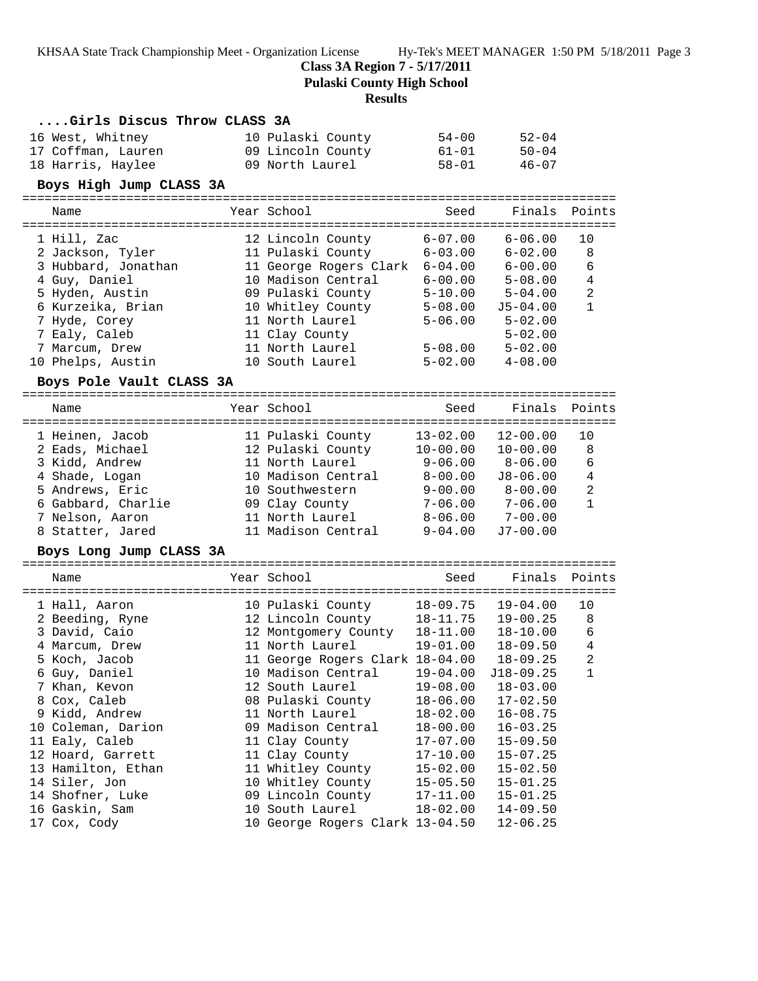**Class 3A Region 7 - 5/17/2011**

**Pulaski County High School**

### **Results**

## **....Girls Discus Throw CLASS 3A**

| 16 West, Whitney   | 10 Pulaski County | 54-00 | $52 - 04$ |
|--------------------|-------------------|-------|-----------|
| 17 Coffman, Lauren | 09 Lincoln County | 61-01 | $50 - 04$ |
| 18 Harris, Haylee  | 09 North Laurel   | 58-01 | 46-07     |

### **Boys High Jump CLASS 3A**

================================================================================ Seed Finals Points

| name                | $TCAL$ DUITULE         | peea        | $F \perp H \triangle \perp D$ | PULLLO       |
|---------------------|------------------------|-------------|-------------------------------|--------------|
| 1 Hill, Zac         | 12 Lincoln County      | $6 - 07.00$ | $6 - 06.00$                   | 10           |
| 2 Jackson, Tyler    | 11 Pulaski County      | $6 - 03.00$ | $6 - 02.00$                   | 8            |
| 3 Hubbard, Jonathan | 11 George Rogers Clark | $6 - 04.00$ | $6 - 00.00$                   | 6            |
| 4 Guy, Daniel       | 10 Madison Central     | $6 - 00.00$ | $5 - 08.00$                   | 4            |
| 5 Hyden, Austin     | 09 Pulaski County      | $5 - 10.00$ | $5 - 04.00$                   | 2            |
| 6 Kurzeika, Brian   | 10 Whitley County      | $5 - 08.00$ | $J5 - 04.00$                  | $\mathbf{1}$ |
| 7 Hyde, Corey       | 11 North Laurel        | $5 - 06.00$ | $5 - 02.00$                   |              |
| 7 Ealy, Caleb       | 11 Clay County         |             | $5 - 02.00$                   |              |
| 7 Marcum, Drew      | 11 North Laurel        | $5 - 08.00$ | $5 - 02.00$                   |              |
| 10 Phelps, Austin   | 10 South Laurel        | $5 - 02.00$ | $4 - 08.00$                   |              |

#### **Boys Pole Vault CLASS 3A**

| Name               | Year School        | Seed         | Finals       | Points         |
|--------------------|--------------------|--------------|--------------|----------------|
| 1 Heinen, Jacob    | 11 Pulaski County  | $13 - 02.00$ | $12 - 00.00$ | 1 O            |
| 2 Eads, Michael    | 12 Pulaski County  | $10 - 00.00$ | $10 - 00.00$ | 8              |
| 3 Kidd, Andrew     | 11 North Laurel    | $9 - 06.00$  | $8 - 06.00$  | 6              |
| 4 Shade, Logan     | 10 Madison Central | $8 - 00.00$  | $J8 - 06.00$ | 4              |
| 5 Andrews, Eric    | 10 Southwestern    | $9 - 00.00$  | $8 - 00.00$  | $\overline{2}$ |
| 6 Gabbard, Charlie | 09 Clay County     | $7 - 06.00$  | $7 - 06.00$  | $\mathbf{1}$   |
| 7 Nelson, Aaron    | 11 North Laurel    | $8 - 06.00$  | $7 - 00.00$  |                |
| 8 Statter, Jared   | 11 Madison Central | $9 - 04.00$  | $J7 - 00.00$ |                |
|                    |                    |              |              |                |

### **Boys Long Jump CLASS 3A**

| Name               |  |                                                                                                                                                                                                                                                                                    | Finals Points        |                                                                                                                                                                                                                                                                                |
|--------------------|--|------------------------------------------------------------------------------------------------------------------------------------------------------------------------------------------------------------------------------------------------------------------------------------|----------------------|--------------------------------------------------------------------------------------------------------------------------------------------------------------------------------------------------------------------------------------------------------------------------------|
| 1 Hall, Aaron      |  |                                                                                                                                                                                                                                                                                    | $19 - 04.00$         | 10                                                                                                                                                                                                                                                                             |
| 2 Beeding, Ryne    |  |                                                                                                                                                                                                                                                                                    | $19 - 00.25$         | 8                                                                                                                                                                                                                                                                              |
| 3 David, Caio      |  |                                                                                                                                                                                                                                                                                    | $18 - 10.00$         | 6                                                                                                                                                                                                                                                                              |
| 4 Marcum, Drew     |  |                                                                                                                                                                                                                                                                                    | $18 - 09.50$         | 4                                                                                                                                                                                                                                                                              |
| 5 Koch, Jacob      |  |                                                                                                                                                                                                                                                                                    | $18 - 09.25$         | 2                                                                                                                                                                                                                                                                              |
| 6 Guy, Daniel      |  |                                                                                                                                                                                                                                                                                    | $J18-09.25$          |                                                                                                                                                                                                                                                                                |
| 7 Khan, Kevon      |  |                                                                                                                                                                                                                                                                                    | $18 - 03.00$         |                                                                                                                                                                                                                                                                                |
| 8 Cox, Caleb       |  |                                                                                                                                                                                                                                                                                    | $17 - 02.50$         |                                                                                                                                                                                                                                                                                |
| 9 Kidd, Andrew     |  |                                                                                                                                                                                                                                                                                    | $16 - 08.75$         |                                                                                                                                                                                                                                                                                |
| 10 Coleman, Darion |  |                                                                                                                                                                                                                                                                                    | $16 - 03.25$         |                                                                                                                                                                                                                                                                                |
| 11 Ealy, Caleb     |  |                                                                                                                                                                                                                                                                                    | $15 - 09.50$         |                                                                                                                                                                                                                                                                                |
| 12 Hoard, Garrett  |  |                                                                                                                                                                                                                                                                                    | $15 - 07.25$         |                                                                                                                                                                                                                                                                                |
| 13 Hamilton, Ethan |  |                                                                                                                                                                                                                                                                                    | $15 - 02.50$         |                                                                                                                                                                                                                                                                                |
| 14 Siler, Jon      |  |                                                                                                                                                                                                                                                                                    | $15 - 01.25$         |                                                                                                                                                                                                                                                                                |
| 14 Shofner, Luke   |  |                                                                                                                                                                                                                                                                                    | $15 - 01.25$         |                                                                                                                                                                                                                                                                                |
| 16 Gaskin, Sam     |  |                                                                                                                                                                                                                                                                                    | $14 - 09.50$         |                                                                                                                                                                                                                                                                                |
| 17 Cox, Cody       |  |                                                                                                                                                                                                                                                                                    | $12 - 06.25$         |                                                                                                                                                                                                                                                                                |
|                    |  | Year School<br>10 Pulaski County<br>12 Lincoln County<br>11 North Laurel<br>10 Madison Central<br>12 South Laurel<br>08 Pulaski County<br>11 North Laurel<br>09 Madison Central<br>11 Clay County<br>11 Clay County<br>11 Whitley County<br>10 Whitley County<br>09 Lincoln County | 12 Montgomery County | Seed<br>18-09.75<br>18-11.75<br>18-11.00<br>19-01.00<br>11 George Rogers Clark 18-04.00<br>19-04.00<br>19-08.00<br>18-06.00<br>18-02.00<br>18-00.00<br>17-07.00<br>17-10.00<br>15-02.00<br>15-05.50<br>17-11.00<br>10 South Laurel 18-02.00<br>10 George Rogers Clark 13-04.50 |